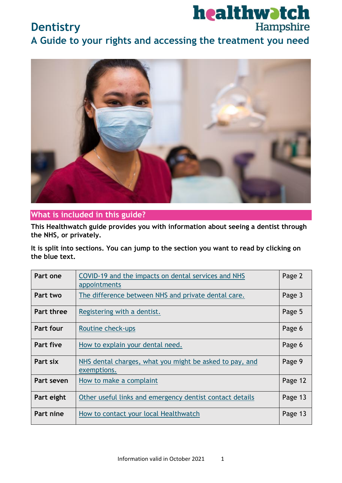

# **Dentistry**

**A Guide to your rights and accessing the treatment you need**



#### **What is included in this guide?**

**This Healthwatch guide provides you with information about seeing a dentist through the NHS, or privately.** 

**It is split into sections. You can jump to the section you want to read by clicking on the blue text.**

| Part one          | COVID-19 and the impacts on dental services and NHS<br>appointments    | Page 2  |
|-------------------|------------------------------------------------------------------------|---------|
| Part two          | The difference between NHS and private dental care.                    | Page 3  |
| <b>Part three</b> | Registering with a dentist.                                            | Page 5  |
| <b>Part four</b>  | Routine check-ups                                                      | Page 6  |
| Part five         | How to explain your dental need.                                       | Page 6  |
| Part six          | NHS dental charges, what you might be asked to pay, and<br>exemptions. | Page 9  |
| Part seven        | How to make a complaint                                                | Page 12 |
| Part eight        | Other useful links and emergency dentist contact details               | Page 13 |
| Part nine         | How to contact your local Healthwatch                                  | Page 13 |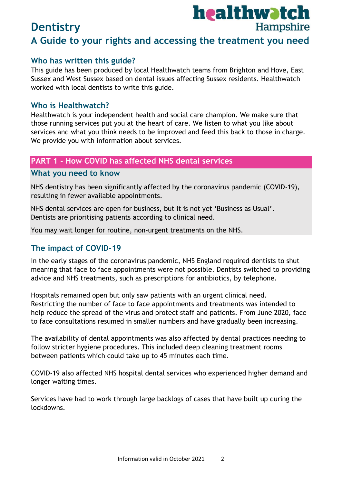### **Who has written this guide?**

This guide has been produced by local Healthwatch teams from Brighton and Hove, East Sussex and West Sussex based on dental issues affecting Sussex residents. Healthwatch worked with local dentists to write this guide.

### **Who is Healthwatch?**

Healthwatch is your independent health and social care champion. We make sure that those running services put you at the heart of care. We listen to what you like about services and what you think needs to be improved and feed this back to those in charge. We provide you with information about services.

## **PART 1 - How COVID has affected NHS dental services**

#### **What you need to know**

NHS dentistry has been significantly affected by the coronavirus pandemic (COVID-19), resulting in fewer available appointments.

NHS dental services are open for business, but it is not yet 'Business as Usual'. Dentists are prioritising patients according to clinical need.

You may wait longer for routine, non-urgent treatments on the NHS.

## **The impact of COVID-19**

In the early stages of the coronavirus pandemic, NHS England required dentists to shut meaning that face to face appointments were not possible. Dentists switched to providing advice and NHS treatments, such as prescriptions for antibiotics, by telephone.

Hospitals remained open but only saw patients with an urgent clinical need. Restricting the number of face to face appointments and treatments was intended to help reduce the spread of the virus and protect staff and patients. From June 2020, face to face consultations resumed in smaller numbers and have gradually been increasing.

The availability of dental appointments was also affected by dental practices needing to follow stricter hygiene procedures. This included deep cleaning treatment rooms between patients which could take up to 45 minutes each time.

COVID-19 also affected NHS hospital dental services who experienced higher demand and longer waiting times.

Services have had to work through large backlogs of cases that have built up during the lockdowns.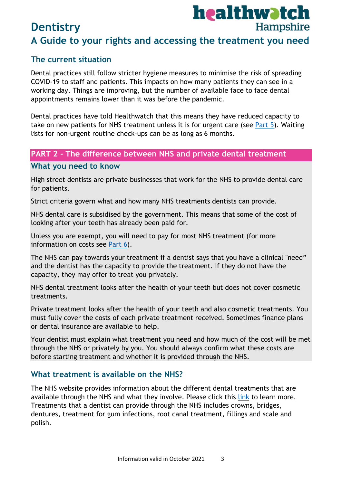## **The current situation**

Dental practices still follow stricter hygiene measures to minimise the risk of spreading COVID-19 to staff and patients. This impacts on how many patients they can see in a working day. Things are improving, but the number of available face to face dental appointments remains lower than it was before the pandemic.

Dental practices have told Healthwatch that this means they have reduced capacity to take on new patients for NHS treatment unless it is for urgent care (see [Part 5\)](#page-5-0). Waiting lists for non-urgent routine check-ups can be as long as 6 months.

#### **PART 2 - The difference between NHS and private dental treatment**

#### **What you need to know**

High street dentists are private businesses that work for the NHS to provide dental care for patients.

Strict criteria govern what and how many NHS treatments dentists can provide.

NHS dental care is subsidised by the government. This means that some of the cost of looking after your teeth has already been paid for.

Unless you are exempt, you will need to pay for most NHS treatment (for more information on costs see Part 6).

The NHS can pay towards your treatment if a dentist says that you have a clinical "need" and the dentist has the capacity to provide the treatment. If they do not have the capacity, they may offer to treat you privately.

NHS dental treatment looks after the health of your teeth but does not cover cosmetic treatments.

Private treatment looks after the health of your teeth and also cosmetic treatments. You must fully cover the costs of each private treatment received. Sometimes finance plans or dental insurance are available to help.

Your dentist must explain what treatment you need and how much of the cost will be met through the NHS or privately by you. You should always confirm what these costs are before starting treatment and whether it is provided through the NHS.

## **What treatment is available on the NHS?**

The NHS website provides information about the different dental treatments that are available through the NHS and what they involve. Please click this [link](https://www.nhs.uk/live-well/healthy-body/dental-treatments/) to learn more. Treatments that a dentist can provide through the NHS includes crowns, bridges, dentures, treatment for gum infections, root canal treatment, fillings and scale and polish.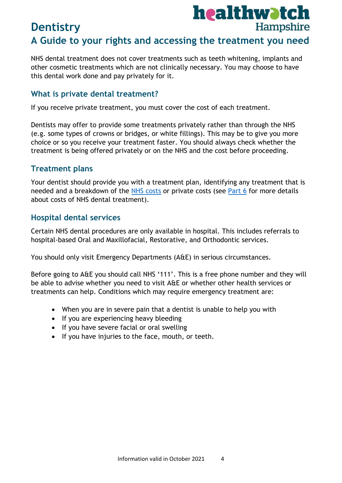

NHS dental treatment does not cover treatments such as teeth whitening, implants and other cosmetic treatments which are not clinically necessary. You may choose to have this dental work done and pay privately for it.

## **What is private dental treatment?**

If you receive private treatment, you must cover the cost of each treatment.

Dentists may offer to provide some treatments privately rather than through the NHS (e.g. some types of crowns or bridges, or white fillings). This may be to give you more choice or so you receive your treatment faster. You should always check whether the treatment is being offered privately or on the NHS and the cost before proceeding.

## **Treatment plans**

Your dentist should provide you with a treatment plan, identifying any treatment that is needed and a breakdown of the [NHS costs](https://www.nhs.uk/nhs-services/dentists/dental-costs/what-is-included-in-each-nhs-dental-band-charge/) or private costs (see Part 6 for more details about costs of NHS dental treatment).

### **Hospital dental services**

Certain NHS dental procedures are only available in hospital. This includes referrals to hospital-based Oral and Maxillofacial, Restorative, and Orthodontic services.

You should only visit Emergency Departments (A&E) in serious circumstances.

Before going to A&E you should call NHS '111'. This is a free phone number and they will be able to advise whether you need to visit A&E or whether other health services or treatments can help. Conditions which may require emergency treatment are:

- When you are in severe pain that a dentist is unable to help you with
- If you are experiencing heavy bleeding
- If you have severe facial or oral swelling
- If you have injuries to the face, mouth, or teeth.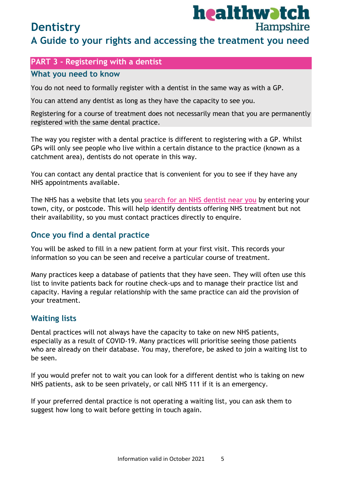## **Dentistry**

# healthwatch Hampshire

## **A Guide to your rights and accessing the treatment you need**

## **PART 3 - Registering with a dentist**

#### **What you need to know**

You do not need to formally register with a dentist in the same way as with a GP.

You can attend any dentist as long as they have the capacity to see you.

Registering for a course of treatment does not necessarily mean that you are permanently registered with the same dental practice.

The way you register with a dental practice is different to registering with a GP. Whilst GPs will only see people who live within a certain distance to the practice (known as a catchment area), dentists do not operate in this way.

You can contact any dental practice that is convenient for you to see if they have any NHS appointments available.

The NHS has a website that lets you **[search for an NHS dentist near you](https://www.nhs.uk/service-search/find-a-dentist)** by entering your town, city, or postcode. This will help identify dentists offering NHS treatment but not their availability, so you must contact practices directly to enquire.

## **Once you find a dental practice**

You will be asked to fill in a new patient form at your first visit. This records your information so you can be seen and receive a particular course of treatment.

Many practices keep a database of patients that they have seen. They will often use this list to invite patients back for routine check-ups and to manage their practice list and capacity. Having a regular relationship with the same practice can aid the provision of your treatment.

## **Waiting lists**

Dental practices will not always have the capacity to take on new NHS patients, especially as a result of COVID-19. Many practices will prioritise seeing those patients who are already on their database. You may, therefore, be asked to join a waiting list to be seen.

If you would prefer not to wait you can look for a different dentist who is taking on new NHS patients, ask to be seen privately, or call NHS 111 if it is an emergency.

If your preferred dental practice is not operating a waiting list, you can ask them to suggest how long to wait before getting in touch again.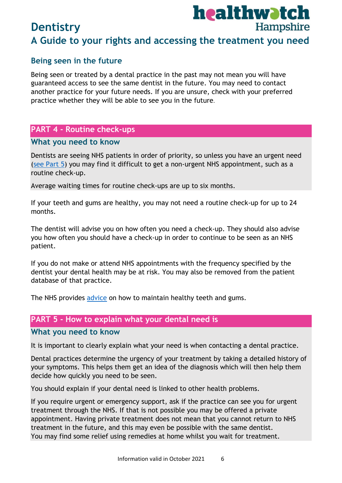## **Being seen in the future**

Being seen or treated by a dental practice in the past may not mean you will have guaranteed access to see the same dentist in the future. You may need to contact another practice for your future needs. If you are unsure, check with your preferred practice whether they will be able to see you in the future.

### **PART 4 - Routine check-ups**

#### **What you need to know**

Dentists are seeing NHS patients in order of priority, so unless you have an urgent need [\(see Part 5\)](#page-5-0) you may find it difficult to get a non-urgent NHS appointment, such as a routine check-up.

Average waiting times for routine check-ups are up to six months.

If your teeth and gums are healthy, you may not need a routine check-up for up to 24 months.

The dentist will advise you on how often you need a check-up. They should also advise you how often you should have a check-up in order to continue to be seen as an NHS patient.

If you do not make or attend NHS appointments with the frequency specified by the dentist your dental health may be at risk. You may also be removed from the patient database of that practice.

<span id="page-5-0"></span>The NHS provides [advice](https://www.nhs.uk/live-well/healthy-body/take-care-of-your-teeth-and-gums/) on how to maintain healthy teeth and gums.

### **PART 5 - How to explain what your dental need is**

#### **What you need to know**

It is important to clearly explain what your need is when contacting a dental practice.

Dental practices determine the urgency of your treatment by taking a detailed history of your symptoms. This helps them get an idea of the diagnosis which will then help them decide how quickly you need to be seen.

You should explain if your dental need is linked to other health problems.

If you require urgent or emergency support, ask if the practice can see you for urgent treatment through the NHS. If that is not possible you may be offered a private appointment. Having private treatment does not mean that you cannot return to NHS treatment in the future, and this may even be possible with the same dentist. You may find some relief using remedies at home whilst you wait for treatment.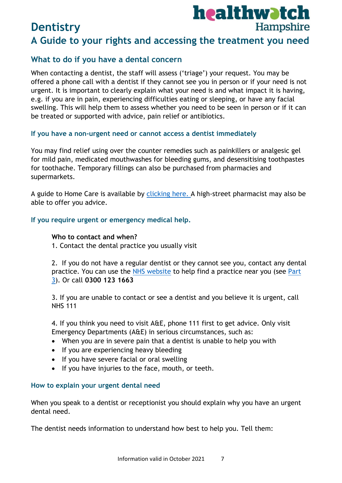### **What to do if you have a dental concern**

When contacting a dentist, the staff will assess ('triage') your request. You may be offered a phone call with a dentist if they cannot see you in person or if your need is not urgent. It is important to clearly explain what your need is and what impact it is having, e.g. if you are in pain, experiencing difficulties eating or sleeping, or have any facial swelling. This will help them to assess whether you need to be seen in person or if it can be treated or supported with advice, pain relief or antibiotics.

#### **If you have a non-urgent need or cannot access a dentist immediately**

You may find relief using over the counter remedies such as painkillers or analgesic gel for mild pain, medicated mouthwashes for bleeding gums, and desensitising toothpastes for toothache. Temporary fillings can also be purchased from pharmacies and supermarkets.

A guide to Home Care is available by [clicking here.](https://www.healthwatchbrightonandhove.co.uk/sites/healthwatchbrightonandhove.co.uk/files/Dental%20advice%20-%20home%20care.pdf) A high-street pharmacist may also be able to offer you advice.

#### **If you require urgent or emergency medical help.**

#### **Who to contact and when?**

1. Contact the dental practice you usually visit

2. If you do not have a regular dentist or they cannot see you, contact any dental practice. You can use the [NHS website](https://www.nhs.uk/service-search/find-a-dentist) to help find a practice near you (see Part 3). Or call **0300 123 1663**

3. If you are unable to contact or see a dentist and you believe it is urgent, call NHS 111

4. If you think you need to visit A&E, phone 111 first to get advice. Only visit Emergency Departments (A&E) in serious circumstances, such as:

- When you are in severe pain that a dentist is unable to help you with
- If you are experiencing heavy bleeding
- If you have severe facial or oral swelling
- If you have injuries to the face, mouth, or teeth.

#### **How to explain your urgent dental need**

When you speak to a dentist or receptionist you should explain why you have an urgent dental need.

The dentist needs information to understand how best to help you. Tell them: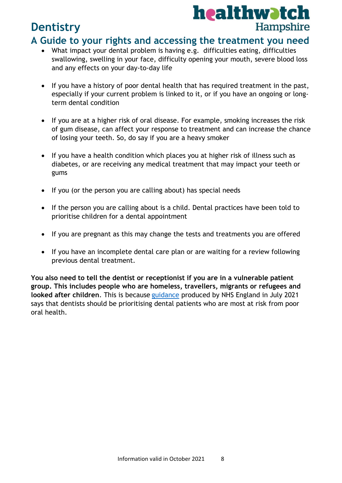

## **Dentistry**

## **A Guide to your rights and accessing the treatment you need**

- What impact your dental problem is having e.g. difficulties eating, difficulties swallowing, swelling in your face, difficulty opening your mouth, severe blood loss and any effects on your day-to-day life
- If you have a history of poor dental health that has required treatment in the past, especially if your current problem is linked to it, or if you have an ongoing or longterm dental condition
- If you are at a higher risk of oral disease. For example, smoking increases the risk of gum disease, can affect your response to treatment and can increase the chance of losing your teeth. So, do say if you are a heavy smoker
- If you have a health condition which places you at higher risk of illness such as diabetes, or are receiving any medical treatment that may impact your teeth or gums
- If you (or the person you are calling about) has special needs
- If the person you are calling about is a child. Dental practices have been told to prioritise children for a dental appointment
- If you are pregnant as this may change the tests and treatments you are offered
- If you have an incomplete dental care plan or are waiting for a review following previous dental treatment.

**You also need to tell the dentist or receptionist if you are in a vulnerable patient group. This includes people who are homeless, travellers, migrants or refugees and looked after children**. This is because [guidance](https://www.england.nhs.uk/coronavirus/publication/dental-standard-operating-procedure-transition-to-recovery/) produced by NHS England in July 2021 says that dentists should be prioritising dental patients who are most at risk from poor oral health.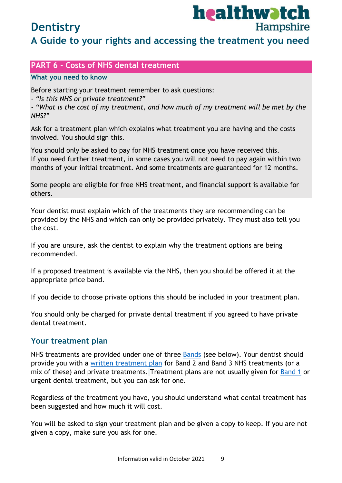# healthwatch Hampshire

## **Dentistry**

## **A Guide to your rights and accessing the treatment you need**

## **PART 6 - Costs of NHS dental treatment**

#### **What you need to know**

Before starting your treatment remember to ask questions:

*- "Is this NHS or private treatment?"*

*- "What is the cost of my treatment, and how much of my treatment will be met by the NHS?"*

Ask for a treatment plan which explains what treatment you are having and the costs involved. You should sign this.

You should only be asked to pay for NHS treatment once you have received this. If you need further treatment, in some cases you will not need to pay again within two months of your initial treatment. And some treatments are guaranteed for 12 months.

Some people are eligible for free NHS treatment, and financial support is available for others.

Your dentist must explain which of the treatments they are recommending can be provided by the NHS and which can only be provided privately. They must also tell you the cost.

If you are unsure, ask the dentist to explain why the treatment options are being recommended.

If a proposed treatment is available via the NHS, then you should be offered it at the appropriate price band.

If you decide to choose private options this should be included in your treatment plan.

You should only be charged for private dental treatment if you agreed to have private dental treatment.

#### **Your treatment plan**

NHS treatments are provided under one of three [Bands](https://www.nhs.uk/nhs-services/dentists/dental-costs/what-is-included-in-each-nhs-dental-band-charge/) (see below). Your dentist should provide you with a [written treatment plan](https://www.nhs.uk/nhs-services/dentists/what-happens-when-you-visit-the-dentist/) for Band 2 and Band 3 NHS treatments (or a mix of these) and private treatments. Treatment plans are not usually given for [Band 1](https://www.nhs.uk/nhs-services/dentists/dental-costs/what-is-included-in-each-nhs-dental-band-charge/) or urgent dental treatment, but you can ask for one.

Regardless of the treatment you have, you should understand what dental treatment has been suggested and how much it will cost.

You will be asked to sign your treatment plan and be given a copy to keep. If you are not given a copy, make sure you ask for one.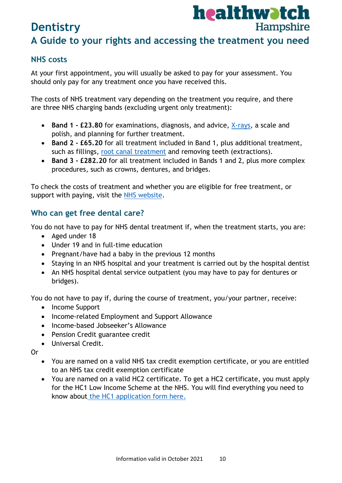

# **Dentistry A Guide to your rights and accessing the treatment you need**

## **NHS costs**

At your first appointment, you will usually be asked to pay for your assessment. You should only pay for any treatment once you have received this.

The costs of NHS treatment vary depending on the treatment you require, and there are three NHS charging bands (excluding urgent only treatment):

- **Band 1 £23.80** for examinations, diagnosis, and advice, [X-rays,](https://www.nhs.uk/conditions/x-ray/) a scale and polish, and planning for further treatment.
- **Band 2 - £65.20** for all treatment included in Band 1, plus additional treatment, such as fillings, [root canal treatment](https://www.nhs.uk/conditions/root-canal-treatment/) and removing teeth (extractions).
- **Band 3 - £282.20** for all treatment included in Bands 1 and 2, plus more complex procedures, such as crowns, dentures, and bridges.

To check the costs of treatment and whether you are eligible for free treatment, or support with paying, visit the [NHS website.](https://www.nhs.uk/nhs-services/dentists/dental-costs/get-help-with-dental-costs/)

## **Who can get free dental care?**

You do not have to pay for NHS dental treatment if, when the treatment starts, you are:

- Aged under 18
- Under 19 and in full-time education
- Pregnant/have had a baby in the previous 12 months
- Staying in an NHS hospital and your treatment is carried out by the hospital dentist
- An NHS hospital dental service outpatient (you may have to pay for dentures or bridges).

You do not have to pay if, during the course of treatment, you/your partner, receive:

- Income Support
- Income-related Employment and Support Allowance
- Income-based Jobseeker's Allowance
- Pension Credit guarantee credit
- Universal Credit.

Or

- You are named on a valid NHS tax credit exemption certificate, or you are entitled to an NHS tax credit exemption certificate
- You are named on a valid HC2 certificate. To get a HC2 certificate, you must apply for the HC1 Low Income Scheme at the NHS. You will find everything you need to know about [the HC1 application form here.](https://www.nhs.uk/nhs-services/help-with-health-costs/nhs-low-income-scheme-lis/)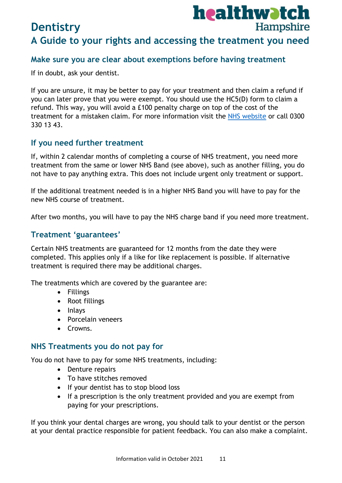#### **Make sure you are clear about exemptions before having treatment**

If in doubt, ask your dentist.

If you are unsure, it may be better to pay for your treatment and then claim a refund if you can later prove that you were exempt. You should use the HC5(D) form to claim a refund. This way, you will avoid a £100 penalty charge on top of the cost of the treatment for a mistaken claim. For more information visit the [NHS website](https://www.nhs.uk/nhs-services/dentists/) or call 0300 330 13 43.

#### **If you need further treatment**

If, within 2 calendar months of completing a course of NHS treatment, you need more treatment from the same or lower NHS Band (see above), such as another filling, you do not have to pay anything extra. This does not include urgent only treatment or support.

If the additional treatment needed is in a higher NHS Band you will have to pay for the new NHS course of treatment.

After two months, you will have to pay the NHS charge band if you need more treatment.

#### **Treatment 'guarantees'**

Certain NHS treatments are guaranteed for 12 months from the date they were completed. This applies only if a like for like replacement is possible. If alternative treatment is required there may be additional charges.

The treatments which are covered by the guarantee are:

- Fillings
- Root fillings
- Inlays
- Porcelain veneers
- Crowns.

#### **NHS Treatments you do not pay for**

You do not have to pay for some NHS treatments, including:

- Denture repairs
- To have stitches removed
- If your dentist has to stop blood loss
- If a prescription is the only treatment provided and you are exempt from paying for your prescriptions.

If you think your dental charges are wrong, you should talk to your dentist or the person at your dental practice responsible for patient feedback. You can also make a complaint.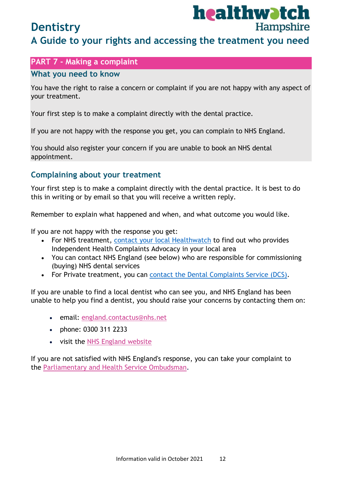# healthwatch Hampshire

## **Dentistry**

## **A Guide to your rights and accessing the treatment you need**

## **PART 7 - Making a complaint**

#### **What you need to know**

You have the right to raise a concern or complaint if you are not happy with any aspect of your treatment.

Your first step is to make a complaint directly with the dental practice.

If you are not happy with the response you get, you can complain to NHS England.

You should also register your concern if you are unable to book an NHS dental appointment.

### **Complaining about your treatment**

Your first step is to make a complaint directly with the dental practice. It is best to do this in writing or by email so that you will receive a written reply.

Remember to explain what happened and when, and what outcome you would like.

If you are not happy with the response you get:

- For NHS treatment, [contact your local Healthwatch](http://www.healthwatch.co.uk/find-local-healthwatch) to find out who provides Independent Health Complaints Advocacy in your local area
- You can contact NHS England (see below) who are responsible for commissioning (buying) NHS dental services
- For Private treatment, you can [contact the Dental Complaints Service \(DCS\).](https://dcs.gdc-uk.org/)

If you are unable to find a local dentist who can see you, and NHS England has been unable to help you find a dentist, you should raise your concerns by contacting them on:

- email: [england.contactus@nhs.net](mailto:england.contactus@nhs.net)
- phone: 0300 311 2233
- visit the [NHS England website](https://www.england.nhs.uk/contact-us/complaint/complaining-to-nhse/)

<span id="page-11-0"></span>If you are not satisfied with NHS England's response, you can take your complaint to the [Parliamentary and Health Service Ombudsman.](https://www.ombudsman.org.uk/making-complaint)